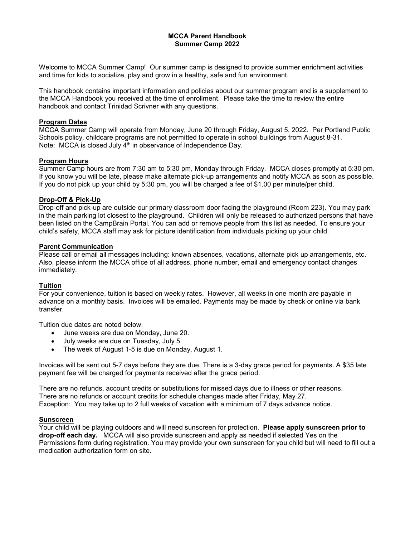#### **MCCA Parent Handbook Summer Camp 2022**

Welcome to MCCA Summer Camp! Our summer camp is designed to provide summer enrichment activities and time for kids to socialize, play and grow in a healthy, safe and fun environment.

This handbook contains important information and policies about our summer program and is a supplement to the MCCA Handbook you received at the time of enrollment. Please take the time to review the entire handbook and contact Trinidad Scrivner with any questions.

## **Program Dates**

MCCA Summer Camp will operate from Monday, June 20 through Friday, August 5, 2022. Per Portland Public Schools policy, childcare programs are not permitted to operate in school buildings from August 8-31. Note: MCCA is closed July 4<sup>th</sup> in observance of Independence Day.

#### **Program Hours**

Summer Camp hours are from 7:30 am to 5:30 pm, Monday through Friday. MCCA closes promptly at 5:30 pm. If you know you will be late, please make alternate pick-up arrangements and notify MCCA as soon as possible. If you do not pick up your child by 5:30 pm, you will be charged a fee of \$1.00 per minute/per child.

#### **Drop-Off & Pick-Up**

Drop-off and pick-up are outside our primary classroom door facing the playground (Room 223). You may park in the main parking lot closest to the playground. Children will only be released to authorized persons that have been listed on the CampBrain Portal. You can add or remove people from this list as needed. To ensure your child's safety, MCCA staff may ask for picture identification from individuals picking up your child.

#### **Parent Communication**

Please call or email all messages including: known absences, vacations, alternate pick up arrangements, etc. Also, please inform the MCCA office of all address, phone number, email and emergency contact changes immediately.

## **Tuition**

For your convenience, tuition is based on weekly rates. However, all weeks in one month are payable in advance on a monthly basis. Invoices will be emailed. Payments may be made by check or online via bank transfer.

Tuition due dates are noted below.

- June weeks are due on Monday, June 20.
- July weeks are due on Tuesday, July 5.
- The week of August 1-5 is due on Monday, August 1.

Invoices will be sent out 5-7 days before they are due. There is a 3-day grace period for payments. A \$35 late payment fee will be charged for payments received after the grace period.

There are no refunds, account credits or substitutions for missed days due to illness or other reasons. There are no refunds or account credits for schedule changes made after Friday, May 27. Exception: You may take up to 2 full weeks of vacation with a minimum of 7 days advance notice.

## **Sunscreen**

Your child will be playing outdoors and will need sunscreen for protection. **Please apply sunscreen prior to drop-off each day.** MCCA will also provide sunscreen and apply as needed if selected Yes on the Permissions form during registration. You may provide your own sunscreen for you child but will need to fill out a medication authorization form on site.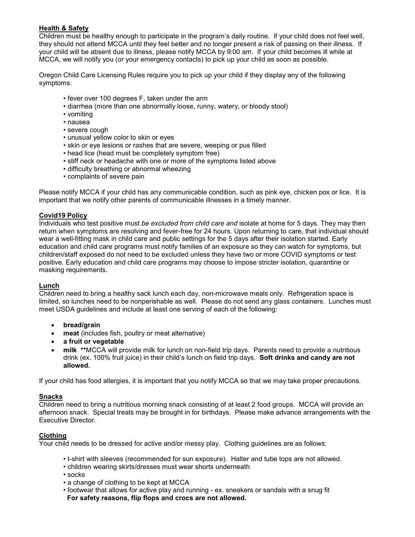# **Health & Safety**

Children must be healthy enough to participate in the program's daily routine. If your child does not feel well, they should not attend MCCA until they feel better and no longer present a risk of passing on their illness. If your child will be absent due to illness, please notify MCCA by 9:00 am. If your child becomes ill while at MCCA, we will notify you (or your emergency contacts) to pick up your child as soon as possible.

Oregon Child Care Licensing Rules require you to pick up your child if they display any of the following symptoms:

- fever over 100 degrees F, taken under the arm
- diarrhea (more than one abnormally loose, runny, watery, or bloody stool)
- vomiting
- nausea
- severe cough
- unusual yellow color to skin or eyes
- skin or eye lesions or rashes that are severe, weeping or pus filled
- head lice (head must be completely symptom free)
- stiff neck or headache with one or more of the symptoms listed above
- difficulty breathing or abnormal wheezing
- complaints of severe pain

Please notify MCCA if your child has any communicable condition, such as pink eye, chicken pox or lice. It is important that we notify other parents of communicable illnesses in a timely manner.

## **Covid19 Policy**

Individuals who test positive must *be excluded from child care and* isolate at home for 5 days. They may then return when symptoms are resolving and fever-free for 24 hours. Upon returning to care, that individual should wear a well-fitting mask in child care and public settings for the 5 days after their isolation started. Early education and child care programs must notify families of an exposure so they can watch for symptoms, but children/staff exposed do not need to be excluded unless they have two or more COVID symptoms or test positive. Early education and child care programs may choose to impose stricter isolation, quarantine or masking requirements.

## **Lunch**

Children need to bring a healthy sack lunch each day, non-microwave meals only. Refrigeration space is limited, so lunches need to be nonperishable as well. Please do not send any glass containers. Lunches must meet USDA guidelines and include at least one serving of each of the following:

- **bread/grain**
- **meat** (includes fish, poultry or meat alternative)
- **a fruit or vegetable**
- **milk \*\***MCCA will provide milk for lunch on non-field trip days. Parents need to provide a nutritious drink (ex. 100% fruit juice) in their child's lunch on field trip days. **Soft drinks and candy are not allowed.**

If your child has food allergies, it is important that you notify MCCA so that we may take proper precautions.

## **Snacks**

Children need to bring a nutritious morning snack consisting of at least 2 food groups. MCCA will provide an afternoon snack. Special treats may be brought in for birthdays. Please make advance arrangements with the Executive Director.

## **Clothing**

Your child needs to be dressed for active and/or messy play. Clothing guidelines are as follows:

- t-shirt with sleeves (recommended for sun exposure). Halter and tube tops are not allowed.
- children wearing skirts/dresses must wear shorts underneath
- socks
- a change of clothing to be kept at MCCA
- footwear that allows for active play and running ex. sneakers or sandals with a snug fit **For safety reasons, flip flops and crocs are not allowed.**